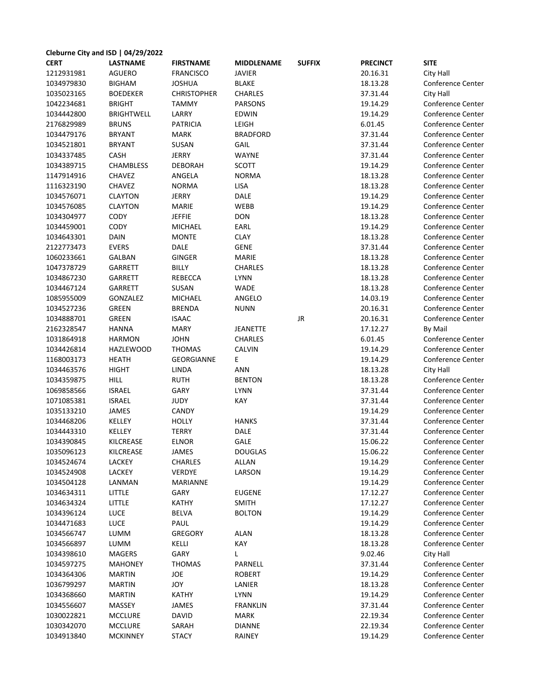| Cleburne City and ISD   04/29/2022 |                   |                    |                   |               |                 |                          |  |  |  |  |
|------------------------------------|-------------------|--------------------|-------------------|---------------|-----------------|--------------------------|--|--|--|--|
| <b>CERT</b>                        | <b>LASTNAME</b>   | <b>FIRSTNAME</b>   | <b>MIDDLENAME</b> | <b>SUFFIX</b> | <b>PRECINCT</b> | <b>SITE</b>              |  |  |  |  |
| 1212931981                         | <b>AGUERO</b>     | <b>FRANCISCO</b>   | <b>JAVIER</b>     |               | 20.16.31        | City Hall                |  |  |  |  |
| 1034979830                         | <b>BIGHAM</b>     | <b>JOSHUA</b>      | <b>BLAKE</b>      |               | 18.13.28        | Conference Center        |  |  |  |  |
| 1035023165                         | <b>BOEDEKER</b>   | <b>CHRISTOPHER</b> | <b>CHARLES</b>    |               | 37.31.44        | City Hall                |  |  |  |  |
| 1042234681                         | <b>BRIGHT</b>     | <b>TAMMY</b>       | <b>PARSONS</b>    |               | 19.14.29        | Conference Center        |  |  |  |  |
| 1034442800                         | <b>BRIGHTWELL</b> | LARRY              | <b>EDWIN</b>      |               | 19.14.29        | Conference Center        |  |  |  |  |
| 2176829989                         | <b>BRUNS</b>      | <b>PATRICIA</b>    | LEIGH             |               | 6.01.45         | Conference Center        |  |  |  |  |
| 1034479176                         | <b>BRYANT</b>     | <b>MARK</b>        | <b>BRADFORD</b>   |               | 37.31.44        | Conference Center        |  |  |  |  |
| 1034521801                         | <b>BRYANT</b>     | SUSAN              | GAIL              |               | 37.31.44        | <b>Conference Center</b> |  |  |  |  |
| 1034337485                         | CASH              | <b>JERRY</b>       | WAYNE             |               | 37.31.44        | Conference Center        |  |  |  |  |
| 1034389715                         | <b>CHAMBLESS</b>  | <b>DEBORAH</b>     | SCOTT             |               | 19.14.29        | Conference Center        |  |  |  |  |
| 1147914916                         | CHAVEZ            | ANGELA             | <b>NORMA</b>      |               | 18.13.28        | Conference Center        |  |  |  |  |
| 1116323190                         | <b>CHAVEZ</b>     | <b>NORMA</b>       | LISA              |               | 18.13.28        | Conference Center        |  |  |  |  |
| 1034576071                         | <b>CLAYTON</b>    | <b>JERRY</b>       | DALE              |               | 19.14.29        | Conference Center        |  |  |  |  |
| 1034576085                         | <b>CLAYTON</b>    | <b>MARIE</b>       | WEBB              |               | 19.14.29        | Conference Center        |  |  |  |  |
| 1034304977                         | CODY              | <b>JEFFIE</b>      | <b>DON</b>        |               | 18.13.28        | Conference Center        |  |  |  |  |
| 1034459001                         | CODY              | <b>MICHAEL</b>     | EARL              |               | 19.14.29        | Conference Center        |  |  |  |  |
| 1034643301                         | <b>DAIN</b>       | <b>MONTE</b>       | <b>CLAY</b>       |               | 18.13.28        | Conference Center        |  |  |  |  |
| 2122773473                         | <b>EVERS</b>      | DALE               | <b>GENE</b>       |               | 37.31.44        | Conference Center        |  |  |  |  |
| 1060233661                         | GALBAN            | <b>GINGER</b>      | <b>MARIE</b>      |               | 18.13.28        | <b>Conference Center</b> |  |  |  |  |
| 1047378729                         | <b>GARRETT</b>    | <b>BILLY</b>       | <b>CHARLES</b>    |               | 18.13.28        | Conference Center        |  |  |  |  |
| 1034867230                         | GARRETT           | REBECCA            | <b>LYNN</b>       |               | 18.13.28        | Conference Center        |  |  |  |  |
| 1034467124                         | GARRETT           | SUSAN              | WADE              |               | 18.13.28        | <b>Conference Center</b> |  |  |  |  |
| 1085955009                         | GONZALEZ          | <b>MICHAEL</b>     | ANGELO            |               | 14.03.19        | Conference Center        |  |  |  |  |
| 1034527236                         | GREEN             | <b>BRENDA</b>      | <b>NUNN</b>       |               | 20.16.31        | Conference Center        |  |  |  |  |
| 1034888701                         | GREEN             | <b>ISAAC</b>       |                   | JR            | 20.16.31        | Conference Center        |  |  |  |  |
| 2162328547                         | <b>HANNA</b>      | <b>MARY</b>        | <b>JEANETTE</b>   |               | 17.12.27        | By Mail                  |  |  |  |  |
| 1031864918                         | <b>HARMON</b>     | <b>JOHN</b>        | <b>CHARLES</b>    |               | 6.01.45         | Conference Center        |  |  |  |  |
| 1034426814                         | <b>HAZLEWOOD</b>  | <b>THOMAS</b>      | <b>CALVIN</b>     |               | 19.14.29        | Conference Center        |  |  |  |  |
| 1168003173                         | HEATH             | <b>GEORGIANNE</b>  | E.                |               | 19.14.29        | Conference Center        |  |  |  |  |
| 1034463576                         | <b>HIGHT</b>      | LINDA              | <b>ANN</b>        |               | 18.13.28        | City Hall                |  |  |  |  |
| 1034359875                         | <b>HILL</b>       | <b>RUTH</b>        | <b>BENTON</b>     |               | 18.13.28        | Conference Center        |  |  |  |  |
| 1069858566                         | <b>ISRAEL</b>     | GARY               | <b>LYNN</b>       |               | 37.31.44        | Conference Center        |  |  |  |  |
| 1071085381                         | <b>ISRAEL</b>     | JUDY               | KAY               |               | 37.31.44        | Conference Center        |  |  |  |  |
| 1035133210                         | JAMES             | CANDY              |                   |               | 19.14.29        | Conference Center        |  |  |  |  |
| 1034468206                         | KELLEY            | <b>HOLLY</b>       | <b>HANKS</b>      |               | 37.31.44        | Conference Center        |  |  |  |  |
| 1034443310                         | <b>KELLEY</b>     | <b>TERRY</b>       | <b>DALE</b>       |               | 37.31.44        | <b>Conference Center</b> |  |  |  |  |
| 1034390845                         | KILCREASE         | <b>ELNOR</b>       | GALE              |               | 15.06.22        | Conference Center        |  |  |  |  |
| 1035096123                         | KILCREASE         | JAMES              | <b>DOUGLAS</b>    |               | 15.06.22        | Conference Center        |  |  |  |  |
| 1034524674                         | LACKEY            | CHARLES            | <b>ALLAN</b>      |               | 19.14.29        | Conference Center        |  |  |  |  |
| 1034524908                         | LACKEY            | VERDYE             | LARSON            |               | 19.14.29        | Conference Center        |  |  |  |  |
| 1034504128                         | LANMAN            | <b>MARIANNE</b>    |                   |               | 19.14.29        | Conference Center        |  |  |  |  |
| 1034634311                         | LITTLE            | GARY               | <b>EUGENE</b>     |               | 17.12.27        | Conference Center        |  |  |  |  |
| 1034634324                         | LITTLE            | KATHY              | <b>SMITH</b>      |               | 17.12.27        | Conference Center        |  |  |  |  |
| 1034396124                         | <b>LUCE</b>       | <b>BELVA</b>       | <b>BOLTON</b>     |               | 19.14.29        | Conference Center        |  |  |  |  |
| 1034471683                         | <b>LUCE</b>       | PAUL               |                   |               | 19.14.29        | Conference Center        |  |  |  |  |
| 1034566747                         | LUMM              | <b>GREGORY</b>     | ALAN              |               | 18.13.28        | Conference Center        |  |  |  |  |
| 1034566897                         | LUMM              | KELLI              | KAY               |               | 18.13.28        | Conference Center        |  |  |  |  |
| 1034398610                         | <b>MAGERS</b>     | GARY               | L                 |               | 9.02.46         | City Hall                |  |  |  |  |
| 1034597275                         | <b>MAHONEY</b>    | <b>THOMAS</b>      | PARNELL           |               | 37.31.44        | Conference Center        |  |  |  |  |
| 1034364306                         | <b>MARTIN</b>     | JOE                | <b>ROBERT</b>     |               | 19.14.29        | Conference Center        |  |  |  |  |
| 1036799297                         | <b>MARTIN</b>     | JOY                | LANIER            |               | 18.13.28        | Conference Center        |  |  |  |  |
| 1034368660                         | <b>MARTIN</b>     | KATHY              | <b>LYNN</b>       |               | 19.14.29        | Conference Center        |  |  |  |  |
| 1034556607                         | MASSEY            | JAMES              | <b>FRANKLIN</b>   |               | 37.31.44        | Conference Center        |  |  |  |  |
| 1030022821                         | <b>MCCLURE</b>    | DAVID              | MARK              |               | 22.19.34        | Conference Center        |  |  |  |  |
| 1030342070                         | <b>MCCLURE</b>    | SARAH              | <b>DIANNE</b>     |               | 22.19.34        | Conference Center        |  |  |  |  |
| 1034913840                         | <b>MCKINNEY</b>   | <b>STACY</b>       | RAINEY            |               | 19.14.29        | Conference Center        |  |  |  |  |